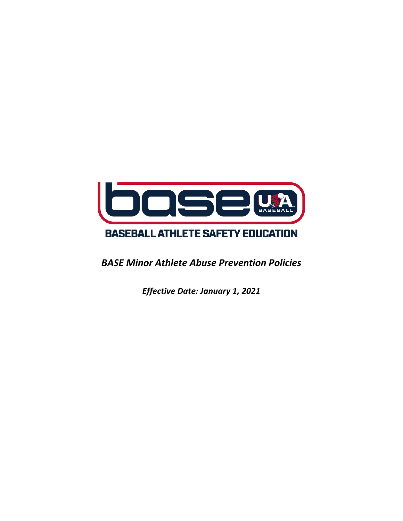

*BASE Minor Athlete Abuse Prevention Policies*

*Effective Date: January 1, 2021*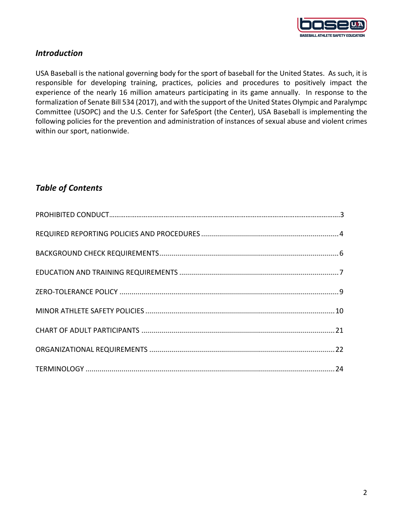

## *Introduction*

USA Baseball is the national governing body for the sport of baseball for the United States. As such, it is responsible for developing training, practices, policies and procedures to positively impact the experience of the nearly 16 million amateurs participating in its game annually. In response to the formalization of Senate Bill 534 (2017), and with the support of the United States Olympic and Paralympc Committee (USOPC) and the U.S. Center for SafeSport (the Center), USA Baseball is implementing the following policies for the prevention and administration of instances of sexual abuse and violent crimes within our sport, nationwide.

## *Table of Contents*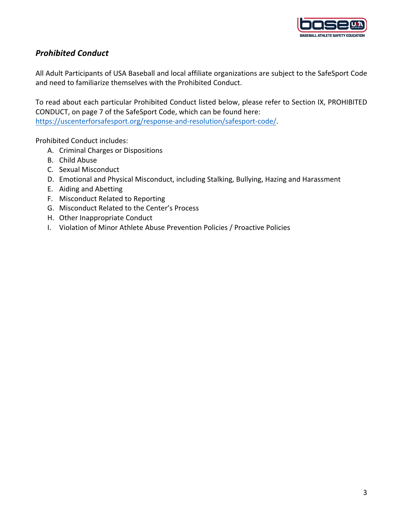

## *Prohibited Conduct*

All Adult Participants of USA Baseball and local affiliate organizations are subject to the SafeSport Code and need to familiarize themselves with the Prohibited Conduct.

To read about each particular Prohibited Conduct listed below, please refer to Section IX, PROHIBITED CONDUCT, on page 7 of the SafeSport Code, which can be found here: https://uscenterforsafesport.org/response-and-resolution/safesport-code/.

Prohibited Conduct includes:

- A. Criminal Charges or Dispositions
- B. Child Abuse
- C. Sexual Misconduct
- D. Emotional and Physical Misconduct, including Stalking, Bullying, Hazing and Harassment
- E. Aiding and Abetting
- F. Misconduct Related to Reporting
- G. Misconduct Related to the Center's Process
- H. Other Inappropriate Conduct
- I. Violation of Minor Athlete Abuse Prevention Policies / Proactive Policies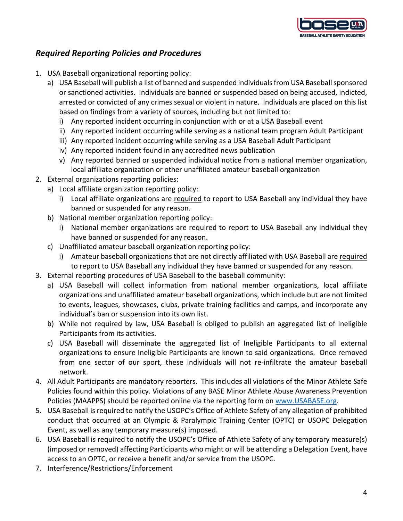

## *Required Reporting Policies and Procedures*

- 1. USA Baseball organizational reporting policy:
	- a) USA Baseball will publish a list of banned and suspended individuals from USA Baseball sponsored or sanctioned activities. Individuals are banned or suspended based on being accused, indicted, arrested or convicted of any crimes sexual or violent in nature. Individuals are placed on this list based on findings from a variety of sources, including but not limited to:
		- i) Any reported incident occurring in conjunction with or at a USA Baseball event
		- ii) Any reported incident occurring while serving as a national team program Adult Participant
		- iii) Any reported incident occurring while serving as a USA Baseball Adult Participant
		- iv) Any reported incident found in any accredited news publication
		- v) Any reported banned or suspended individual notice from a national member organization, local affiliate organization or other unaffiliated amateur baseball organization
- 2. External organizations reporting policies:
	- a) Local affiliate organization reporting policy:
		- i) Local affiliate organizations are required to report to USA Baseball any individual they have banned or suspended for any reason.
	- b) National member organization reporting policy:
		- i) National member organizations are required to report to USA Baseball any individual they have banned or suspended for any reason.
	- c) Unaffiliated amateur baseball organization reporting policy:
		- i) Amateur baseball organizations that are not directly affiliated with USA Baseball are required to report to USA Baseball any individual they have banned or suspended for any reason.
- 3. External reporting procedures of USA Baseball to the baseball community:
	- a) USA Baseball will collect information from national member organizations, local affiliate organizations and unaffiliated amateur baseball organizations, which include but are not limited to events, leagues, showcases, clubs, private training facilities and camps, and incorporate any individual's ban or suspension into its own list.
	- b) While not required by law, USA Baseball is obliged to publish an aggregated list of Ineligible Participants from its activities.
	- c) USA Baseball will disseminate the aggregated list of Ineligible Participants to all external organizations to ensure Ineligible Participants are known to said organizations. Once removed from one sector of our sport, these individuals will not re-infiltrate the amateur baseball network.
- 4. All Adult Participants are mandatory reporters. This includes all violations of the Minor Athlete Safe Policies found within this policy. Violations of any BASE Minor Athlete Abuse Awareness Prevention Policies (MAAPPS) should be reported online via the reporting form on www.USABASE.org.
- 5. USA Baseball is required to notify the USOPC's Office of Athlete Safety of any allegation of prohibited conduct that occurred at an Olympic & Paralympic Training Center (OPTC) or USOPC Delegation Event, as well as any temporary measure(s) imposed.
- 6. USA Baseball is required to notify the USOPC's Office of Athlete Safety of any temporary measure(s) (imposed or removed) affecting Participants who might or will be attending a Delegation Event, have access to an OPTC, or receive a benefit and/or service from the USOPC.
- 7. Interference/Restrictions/Enforcement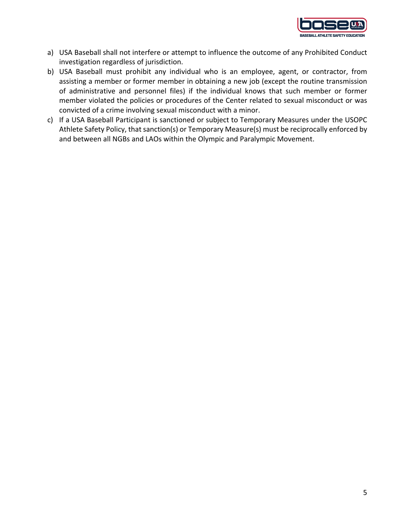

- a) USA Baseball shall not interfere or attempt to influence the outcome of any Prohibited Conduct investigation regardless of jurisdiction.
- b) USA Baseball must prohibit any individual who is an employee, agent, or contractor, from assisting a member or former member in obtaining a new job (except the routine transmission of administrative and personnel files) if the individual knows that such member or former member violated the policies or procedures of the Center related to sexual misconduct or was convicted of a crime involving sexual misconduct with a minor.
- c) If a USA Baseball Participant is sanctioned or subject to Temporary Measures under the USOPC Athlete Safety Policy, that sanction(s) or Temporary Measure(s) must be reciprocally enforced by and between all NGBs and LAOs within the Olympic and Paralympic Movement.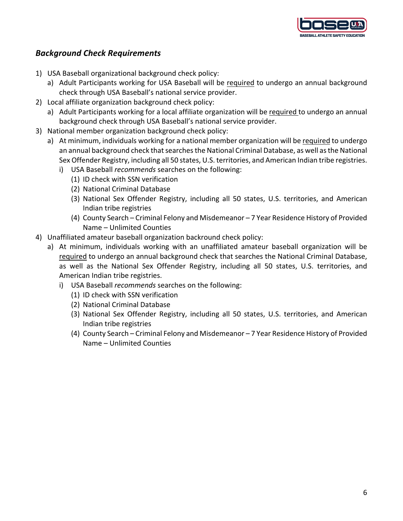

### *Background Check Requirements*

- 1) USA Baseball organizational background check policy:
	- a) Adult Participants working for USA Baseball will be required to undergo an annual background check through USA Baseball's national service provider.
- 2) Local affiliate organization background check policy:
	- a) Adult Participants working for a local affiliate organization will be required to undergo an annual background check through USA Baseball's national service provider.
- 3) National member organization background check policy:
	- a) At minimum, individuals working for a national member organization will be required to undergo an annual background check that searches the National Criminal Database, as well as the National Sex Offender Registry, including all 50 states, U.S. territories, and American Indian tribe registries.
		- i) USA Baseball *recommends* searches on the following:
			- (1) ID check with SSN verification
			- (2) National Criminal Database
			- (3) National Sex Offender Registry, including all 50 states, U.S. territories, and American Indian tribe registries
			- (4) County Search Criminal Felony and Misdemeanor 7 Year Residence History of Provided Name – Unlimited Counties
- 4) Unaffiliated amateur baseball organization backround check policy:
	- a) At minimum, individuals working with an unaffiliated amateur baseball organization will be required to undergo an annual background check that searches the National Criminal Database, as well as the National Sex Offender Registry, including all 50 states, U.S. territories, and American Indian tribe registries.
		- i) USA Baseball *recommends* searches on the following:
			- (1) ID check with SSN verification
			- (2) National Criminal Database
			- (3) National Sex Offender Registry, including all 50 states, U.S. territories, and American Indian tribe registries
			- (4) County Search Criminal Felony and Misdemeanor 7 Year Residence History of Provided Name – Unlimited Counties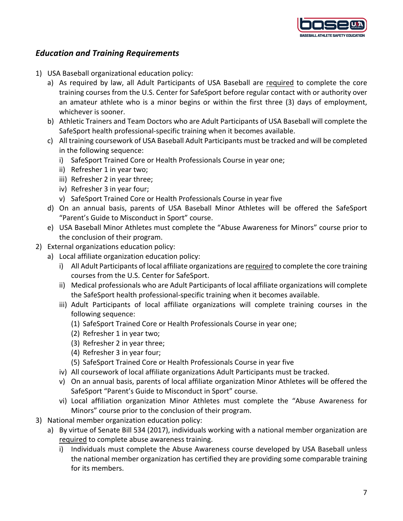

## *Education and Training Requirements*

- 1) USA Baseball organizational education policy:
	- a) As required by law, all Adult Participants of USA Baseball are required to complete the core training courses from the U.S. Center for SafeSport before regular contact with or authority over an amateur athlete who is a minor begins or within the first three (3) days of employment, whichever is sooner.
	- b) Athletic Trainers and Team Doctors who are Adult Participants of USA Baseball will complete the SafeSport health professional-specific training when it becomes available.
	- c) All training coursework of USA Baseball Adult Participants must be tracked and will be completed in the following sequence:
		- i) SafeSport Trained Core or Health Professionals Course in year one;
		- ii) Refresher 1 in year two;
		- iii) Refresher 2 in year three;
		- iv) Refresher 3 in year four;
		- v) SafeSport Trained Core or Health Professionals Course in year five
	- d) On an annual basis, parents of USA Baseball Minor Athletes will be offered the SafeSport "Parent's Guide to Misconduct in Sport" course.
	- e) USA Baseball Minor Athletes must complete the "Abuse Awareness for Minors" course prior to the conclusion of their program.
- 2) External organizations education policy:
	- a) Local affiliate organization education policy:
		- i) All Adult Participants of local affiliate organizations are required to complete the core training courses from the U.S. Center for SafeSport.
		- ii) Medical professionals who are Adult Participants of local affiliate organizations will complete the SafeSport health professional-specific training when it becomes available.
		- iii) Adult Participants of local affiliate organizations will complete training courses in the following sequence:
			- (1) SafeSport Trained Core or Health Professionals Course in year one;
			- (2) Refresher 1 in year two;
			- (3) Refresher 2 in year three;
			- (4) Refresher 3 in year four;
			- (5) SafeSport Trained Core or Health Professionals Course in year five
		- iv) All coursework of local affiliate organizations Adult Participants must be tracked.
		- v) On an annual basis, parents of local affiliate organization Minor Athletes will be offered the SafeSport "Parent's Guide to Misconduct in Sport" course.
		- vi) Local affiliation organization Minor Athletes must complete the "Abuse Awareness for Minors" course prior to the conclusion of their program.
- 3) National member organization education policy:
	- a) By virtue of Senate Bill 534 (2017), individuals working with a national member organization are required to complete abuse awareness training.
		- i) Individuals must complete the Abuse Awareness course developed by USA Baseball unless the national member organization has certified they are providing some comparable training for its members.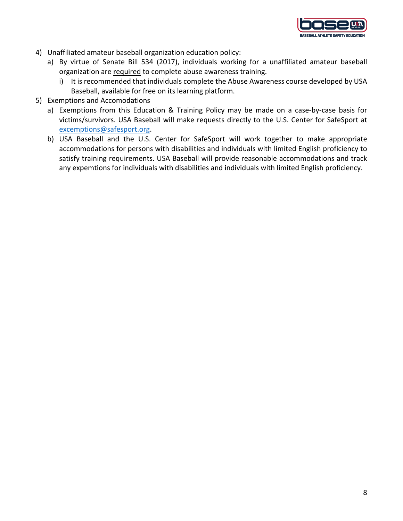

- 4) Unaffiliated amateur baseball organization education policy:
	- a) By virtue of Senate Bill 534 (2017), individuals working for a unaffiliated amateur baseball organization are required to complete abuse awareness training.
		- i) It is recommended that individuals complete the Abuse Awareness course developed by USA Baseball, available for free on its learning platform.
- 5) Exemptions and Accomodations
	- a) Exemptions from this Education & Training Policy may be made on a case-by-case basis for victims/survivors. USA Baseball will make requests directly to the U.S. Center for SafeSport at excemptions@safesport.org.
	- b) USA Baseball and the U.S. Center for SafeSport will work together to make appropriate accommodations for persons with disabilities and individuals with limited English proficiency to satisfy training requirements. USA Baseball will provide reasonable accommodations and track any expemtions for individuals with disabilities and individuals with limited English proficiency.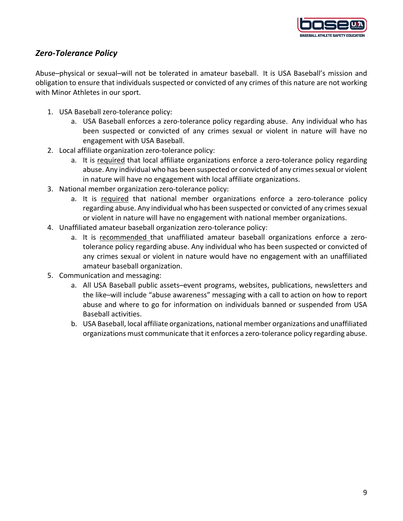

## *Zero-Tolerance Policy*

Abuse–physical or sexual–will not be tolerated in amateur baseball. It is USA Baseball's mission and obligation to ensure that individuals suspected or convicted of any crimes of this nature are not working with Minor Athletes in our sport.

- 1. USA Baseball zero-tolerance policy:
	- a. USA Baseball enforces a zero-tolerance policy regarding abuse. Any individual who has been suspected or convicted of any crimes sexual or violent in nature will have no engagement with USA Baseball.
- 2. Local affiliate organization zero-tolerance policy:
	- a. It is required that local affiliate organizations enforce a zero-tolerance policy regarding abuse. Any individual who has been suspected or convicted of any crimes sexual or violent in nature will have no engagement with local affiliate organizations.
- 3. National member organization zero-tolerance policy:
	- a. It is required that national member organizations enforce a zero-tolerance policy regarding abuse. Any individual who has been suspected or convicted of any crimes sexual or violent in nature will have no engagement with national member organizations.
- 4. Unaffiliated amateur baseball organization zero-tolerance policy:
	- a. It is recommended that unaffiliated amateur baseball organizations enforce a zerotolerance policy regarding abuse. Any individual who has been suspected or convicted of any crimes sexual or violent in nature would have no engagement with an unaffiliated amateur baseball organization.
- 5. Communication and messaging:
	- a. All USA Baseball public assets–event programs, websites, publications, newsletters and the like–will include "abuse awareness" messaging with a call to action on how to report abuse and where to go for information on individuals banned or suspended from USA Baseball activities.
	- b. USA Baseball, local affiliate organizations, national member organizations and unaffiliated organizations must communicate that it enforces a zero-tolerance policy regarding abuse.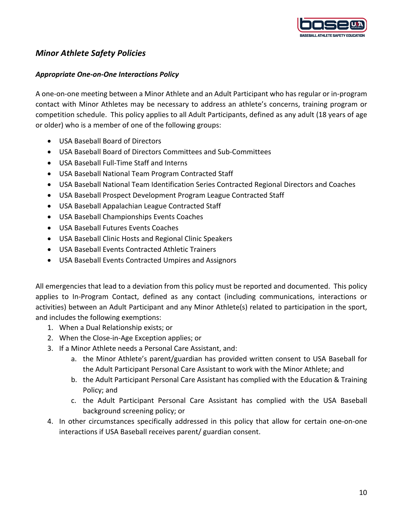

## *Minor Athlete Safety Policies*

### *Appropriate One-on-One Interactions Policy*

A one-on-one meeting between a Minor Athlete and an Adult Participant who has regular or in-program contact with Minor Athletes may be necessary to address an athlete's concerns, training program or competition schedule. This policy applies to all Adult Participants, defined as any adult (18 years of age or older) who is a member of one of the following groups:

- USA Baseball Board of Directors
- USA Baseball Board of Directors Committees and Sub-Committees
- USA Baseball Full-Time Staff and Interns
- USA Baseball National Team Program Contracted Staff
- USA Baseball National Team Identification Series Contracted Regional Directors and Coaches
- USA Baseball Prospect Development Program League Contracted Staff
- USA Baseball Appalachian League Contracted Staff
- USA Baseball Championships Events Coaches
- USA Baseball Futures Events Coaches
- USA Baseball Clinic Hosts and Regional Clinic Speakers
- USA Baseball Events Contracted Athletic Trainers
- USA Baseball Events Contracted Umpires and Assignors

All emergencies that lead to a deviation from this policy must be reported and documented. This policy applies to In-Program Contact, defined as any contact (including communications, interactions or activities) between an Adult Participant and any Minor Athlete(s) related to participation in the sport, and includes the following exemptions:

- 1. When a Dual Relationship exists; or
- 2. When the Close-in-Age Exception applies; or
- 3. If a Minor Athlete needs a Personal Care Assistant, and:
	- a. the Minor Athlete's parent/guardian has provided written consent to USA Baseball for the Adult Participant Personal Care Assistant to work with the Minor Athlete; and
	- b. the Adult Participant Personal Care Assistant has complied with the Education & Training Policy; and
	- c. the Adult Participant Personal Care Assistant has complied with the USA Baseball background screening policy; or
- 4. In other circumstances specifically addressed in this policy that allow for certain one-on-one interactions if USA Baseball receives parent/ guardian consent.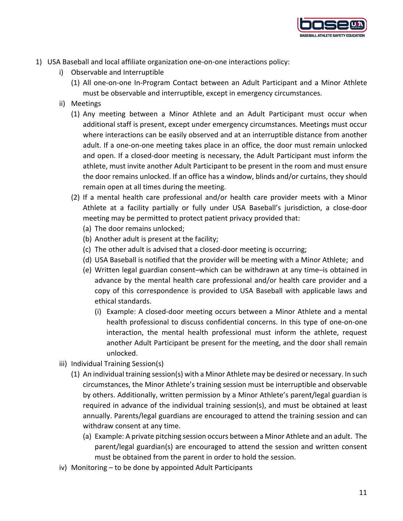

- 1) USA Baseball and local affiliate organization one-on-one interactions policy:
	- i) Observable and Interruptible
		- (1) All one-on-one In-Program Contact between an Adult Participant and a Minor Athlete must be observable and interruptible, except in emergency circumstances.
	- ii) Meetings
		- (1) Any meeting between a Minor Athlete and an Adult Participant must occur when additional staff is present, except under emergency circumstances. Meetings must occur where interactions can be easily observed and at an interruptible distance from another adult. If a one-on-one meeting takes place in an office, the door must remain unlocked and open. If a closed-door meeting is necessary, the Adult Participant must inform the athlete, must invite another Adult Participant to be present in the room and must ensure the door remains unlocked. If an office has a window, blinds and/or curtains, they should remain open at all times during the meeting.
		- (2) If a mental health care professional and/or health care provider meets with a Minor Athlete at a facility partially or fully under USA Baseball's jurisdiction, a close-door meeting may be permitted to protect patient privacy provided that:
			- (a) The door remains unlocked;
			- (b) Another adult is present at the facility;
			- (c) The other adult is advised that a closed-door meeting is occurring;
			- (d) USA Baseball is notified that the provider will be meeting with a Minor Athlete; and
			- (e) Written legal guardian consent–which can be withdrawn at any time–is obtained in advance by the mental health care professional and/or health care provider and a copy of this correspondence is provided to USA Baseball with applicable laws and ethical standards.
				- (i) Example: A closed-door meeting occurs between a Minor Athlete and a mental health professional to discuss confidential concerns. In this type of one-on-one interaction, the mental health professional must inform the athlete, request another Adult Participant be present for the meeting, and the door shall remain unlocked.
	- iii) Individual Training Session(s)
		- (1) An individual training session(s) with a Minor Athlete may be desired or necessary. In such circumstances, the Minor Athlete's training session must be interruptible and observable by others. Additionally, written permission by a Minor Athlete's parent/legal guardian is required in advance of the individual training session(s), and must be obtained at least annually. Parents/legal guardians are encouraged to attend the training session and can withdraw consent at any time.
			- (a) Example: A private pitching session occurs between a Minor Athlete and an adult. The parent/legal guardian(s) are encouraged to attend the session and written consent must be obtained from the parent in order to hold the session.
	- iv) Monitoring to be done by appointed Adult Participants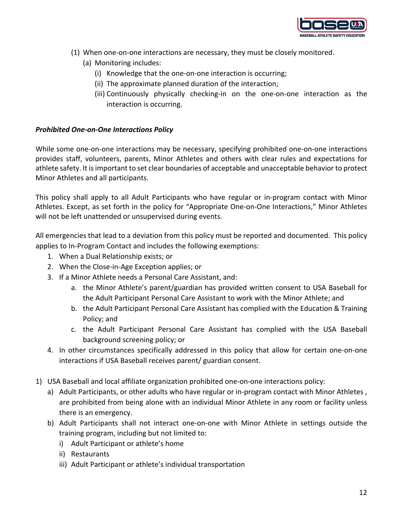

- (1) When one-on-one interactions are necessary, they must be closely monitored.
	- (a) Monitoring includes:
		- (i) Knowledge that the one-on-one interaction is occurring;
		- (ii) The approximate planned duration of the interaction;
		- (iii) Continuously physically checking-in on the one-on-one interaction as the interaction is occurring.

#### *Prohibited One-on-One Interactions Policy*

While some one-on-one interactions may be necessary, specifying prohibited one-on-one interactions provides staff, volunteers, parents, Minor Athletes and others with clear rules and expectations for athlete safety. It is important to set clear boundaries of acceptable and unacceptable behavior to protect Minor Athletes and all participants.

This policy shall apply to all Adult Participants who have regular or in-program contact with Minor Athletes. Except, as set forth in the policy for "Appropriate One-on-One Interactions," Minor Athletes will not be left unattended or unsupervised during events.

All emergencies that lead to a deviation from this policy must be reported and documented. This policy applies to In-Program Contact and includes the following exemptions:

- 1. When a Dual Relationship exists; or
- 2. When the Close-in-Age Exception applies; or
- 3. If a Minor Athlete needs a Personal Care Assistant, and:
	- a. the Minor Athlete's parent/guardian has provided written consent to USA Baseball for the Adult Participant Personal Care Assistant to work with the Minor Athlete; and
	- b. the Adult Participant Personal Care Assistant has complied with the Education & Training Policy; and
	- c. the Adult Participant Personal Care Assistant has complied with the USA Baseball background screening policy; or
- 4. In other circumstances specifically addressed in this policy that allow for certain one-on-one interactions if USA Baseball receives parent/ guardian consent.
- 1) USA Baseball and local affiliate organization prohibited one-on-one interactions policy:
	- a) Adult Participants, or other adults who have regular or in-program contact with Minor Athletes , are prohibited from being alone with an individual Minor Athlete in any room or facility unless there is an emergency.
	- b) Adult Participants shall not interact one-on-one with Minor Athlete in settings outside the training program, including but not limited to:
		- i) Adult Participant or athlete's home
		- ii) Restaurants
		- iii) Adult Participant or athlete's individual transportation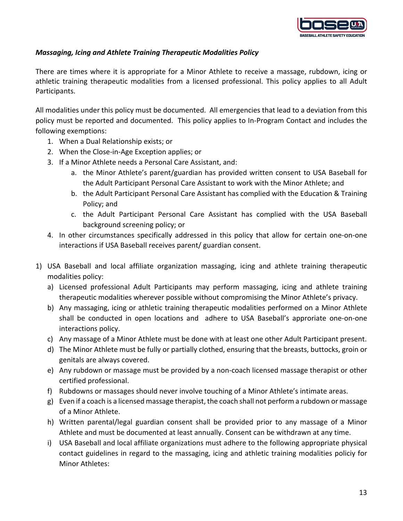

### *Massaging, Icing and Athlete Training Therapeutic Modalities Policy*

There are times where it is appropriate for a Minor Athlete to receive a massage, rubdown, icing or athletic training therapeutic modalities from a licensed professional. This policy applies to all Adult Participants.

All modalities under this policy must be documented. All emergencies that lead to a deviation from this policy must be reported and documented. This policy applies to In-Program Contact and includes the following exemptions:

- 1. When a Dual Relationship exists; or
- 2. When the Close-in-Age Exception applies; or
- 3. If a Minor Athlete needs a Personal Care Assistant, and:
	- a. the Minor Athlete's parent/guardian has provided written consent to USA Baseball for the Adult Participant Personal Care Assistant to work with the Minor Athlete; and
	- b. the Adult Participant Personal Care Assistant has complied with the Education & Training Policy; and
	- c. the Adult Participant Personal Care Assistant has complied with the USA Baseball background screening policy; or
- 4. In other circumstances specifically addressed in this policy that allow for certain one-on-one interactions if USA Baseball receives parent/ guardian consent.
- 1) USA Baseball and local affiliate organization massaging, icing and athlete training therapeutic modalities policy:
	- a) Licensed professional Adult Participants may perform massaging, icing and athlete training therapeutic modalities wherever possible without compromising the Minor Athlete's privacy.
	- b) Any massaging, icing or athletic training therapeutic modalities performed on a Minor Athlete shall be conducted in open locations and adhere to USA Baseball's approriate one-on-one interactions policy.
	- c) Any massage of a Minor Athlete must be done with at least one other Adult Participant present.
	- d) The Minor Athlete must be fully or partially clothed, ensuring that the breasts, buttocks, groin or genitals are always covered.
	- e) Any rubdown or massage must be provided by a non-coach licensed massage therapist or other certified professional.
	- f) Rubdowns or massages should never involve touching of a Minor Athlete's intimate areas.
	- g) Even if a coach is a licensed massage therapist, the coach shall not perform a rubdown or massage of a Minor Athlete.
	- h) Written parental/legal guardian consent shall be provided prior to any massage of a Minor Athlete and must be documented at least annually. Consent can be withdrawn at any time.
	- i) USA Baseball and local affiliate organizations must adhere to the following appropriate physical contact guidelines in regard to the massaging, icing and athletic training modalities policiy for Minor Athletes: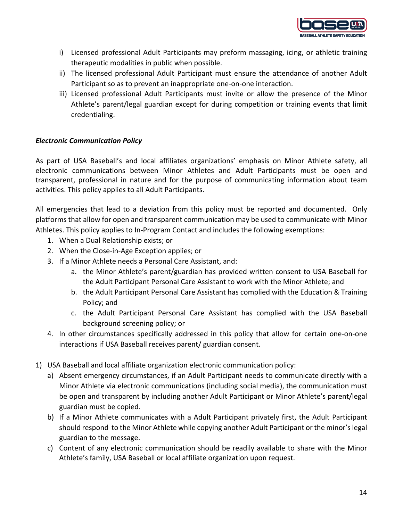

- i) Licensed professional Adult Participants may preform massaging, icing, or athletic training therapeutic modalities in public when possible.
- ii) The licensed professional Adult Participant must ensure the attendance of another Adult Participant so as to prevent an inappropriate one-on-one interaction.
- iii) Licensed professional Adult Participants must invite or allow the presence of the Minor Athlete's parent/legal guardian except for during competition or training events that limit credentialing.

#### *Electronic Communication Policy*

As part of USA Baseball's and local affiliates organizations' emphasis on Minor Athlete safety, all electronic communications between Minor Athletes and Adult Participants must be open and transparent, professional in nature and for the purpose of communicating information about team activities. This policy applies to all Adult Participants.

All emergencies that lead to a deviation from this policy must be reported and documented. Only platforms that allow for open and transparent communication may be used to communicate with Minor Athletes. This policy applies to In-Program Contact and includes the following exemptions:

- 1. When a Dual Relationship exists; or
- 2. When the Close-in-Age Exception applies; or
- 3. If a Minor Athlete needs a Personal Care Assistant, and:
	- a. the Minor Athlete's parent/guardian has provided written consent to USA Baseball for the Adult Participant Personal Care Assistant to work with the Minor Athlete; and
	- b. the Adult Participant Personal Care Assistant has complied with the Education & Training Policy; and
	- c. the Adult Participant Personal Care Assistant has complied with the USA Baseball background screening policy; or
- 4. In other circumstances specifically addressed in this policy that allow for certain one-on-one interactions if USA Baseball receives parent/ guardian consent.
- 1) USA Baseball and local affiliate organization electronic communication policy:
	- a) Absent emergency circumstances, if an Adult Participant needs to communicate directly with a Minor Athlete via electronic communications (including social media), the communication must be open and transparent by including another Adult Participant or Minor Athlete's parent/legal guardian must be copied.
	- b) If a Minor Athlete communicates with a Adult Participant privately first, the Adult Participant should respond to the Minor Athlete while copying another Adult Participant or the minor's legal guardian to the message.
	- c) Content of any electronic communication should be readily available to share with the Minor Athlete's family, USA Baseball or local affiliate organization upon request.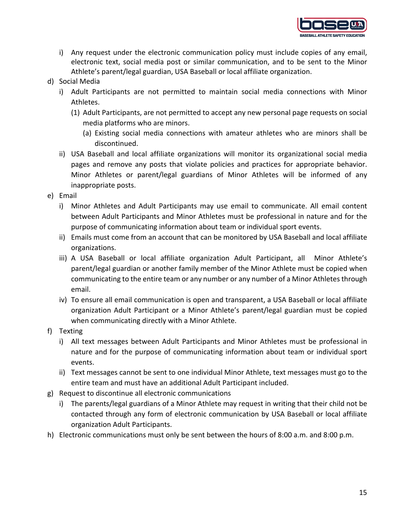

- i) Any request under the electronic communication policy must include copies of any email, electronic text, social media post or similar communication, and to be sent to the Minor Athlete's parent/legal guardian, USA Baseball or local affiliate organization.
- d) Social Media
	- i) Adult Participants are not permitted to maintain social media connections with Minor Athletes.
		- (1) Adult Participants, are not permitted to accept any new personal page requests on social media platforms who are minors.
			- (a) Existing social media connections with amateur athletes who are minors shall be discontinued.
	- ii) USA Baseball and local affiliate organizations will monitor its organizational social media pages and remove any posts that violate policies and practices for appropriate behavior. Minor Athletes or parent/legal guardians of Minor Athletes will be informed of any inappropriate posts.
- e) Email
	- i) Minor Athletes and Adult Participants may use email to communicate. All email content between Adult Participants and Minor Athletes must be professional in nature and for the purpose of communicating information about team or individual sport events.
	- ii) Emails must come from an account that can be monitored by USA Baseball and local affiliate organizations.
	- iii) A USA Baseball or local affiliate organization Adult Participant, all Minor Athlete's parent/legal guardian or another family member of the Minor Athlete must be copied when communicating to the entire team or any number or any number of a Minor Athletes through email.
	- iv) To ensure all email communication is open and transparent, a USA Baseball or local affiliate organization Adult Participant or a Minor Athlete's parent/legal guardian must be copied when communicating directly with a Minor Athlete.
- f) Texting
	- i) All text messages between Adult Participants and Minor Athletes must be professional in nature and for the purpose of communicating information about team or individual sport events.
	- ii) Text messages cannot be sent to one individual Minor Athlete, text messages must go to the entire team and must have an additional Adult Participant included.
- g) Request to discontinue all electronic communications
	- i) The parents/legal guardians of a Minor Athlete may request in writing that their child not be contacted through any form of electronic communication by USA Baseball or local affiliate organization Adult Participants.
- h) Electronic communications must only be sent between the hours of 8:00 a.m. and 8:00 p.m.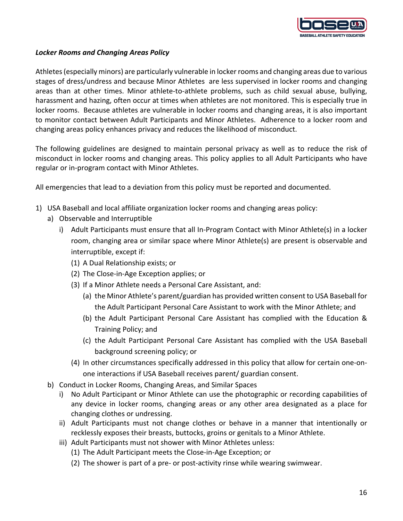

#### *Locker Rooms and Changing Areas Policy*

Athletes (especially minors) are particularly vulnerable in locker rooms and changing areas due to various stages of dress/undress and because Minor Athletes are less supervised in locker rooms and changing areas than at other times. Minor athlete-to-athlete problems, such as child sexual abuse, bullying, harassment and hazing, often occur at times when athletes are not monitored. This is especially true in locker rooms. Because athletes are vulnerable in locker rooms and changing areas, it is also important to monitor contact between Adult Participants and Minor Athletes. Adherence to a locker room and changing areas policy enhances privacy and reduces the likelihood of misconduct.

The following guidelines are designed to maintain personal privacy as well as to reduce the risk of misconduct in locker rooms and changing areas. This policy applies to all Adult Participants who have regular or in-program contact with Minor Athletes.

All emergencies that lead to a deviation from this policy must be reported and documented.

- 1) USA Baseball and local affiliate organization locker rooms and changing areas policy:
	- a) Observable and Interruptible
		- i) Adult Participants must ensure that all In-Program Contact with Minor Athlete(s) in a locker room, changing area or similar space where Minor Athlete(s) are present is observable and interruptible, except if:
			- (1) A Dual Relationship exists; or
			- (2) The Close-in-Age Exception applies; or
			- (3) If a Minor Athlete needs a Personal Care Assistant, and:
				- (a) the Minor Athlete's parent/guardian has provided written consent to USA Baseball for the Adult Participant Personal Care Assistant to work with the Minor Athlete; and
				- (b) the Adult Participant Personal Care Assistant has complied with the Education & Training Policy; and
				- (c) the Adult Participant Personal Care Assistant has complied with the USA Baseball background screening policy; or
			- (4) In other circumstances specifically addressed in this policy that allow for certain one-onone interactions if USA Baseball receives parent/ guardian consent.
	- b) Conduct in Locker Rooms, Changing Areas, and Similar Spaces
		- i) No Adult Participant or Minor Athlete can use the photographic or recording capabilities of any device in locker rooms, changing areas or any other area designated as a place for changing clothes or undressing.
		- ii) Adult Participants must not change clothes or behave in a manner that intentionally or recklessly exposes their breasts, buttocks, groins or genitals to a Minor Athlete.
		- iii) Adult Participants must not shower with Minor Athletes unless:
			- (1) The Adult Participant meets the Close-in-Age Exception; or
			- (2) The shower is part of a pre- or post-activity rinse while wearing swimwear.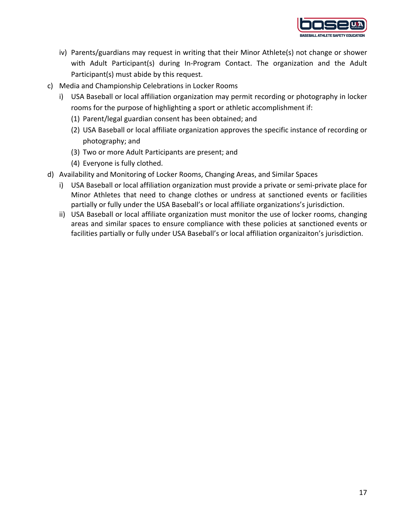

- iv) Parents/guardians may request in writing that their Minor Athlete(s) not change or shower with Adult Participant(s) during In-Program Contact. The organization and the Adult Participant(s) must abide by this request.
- c) Media and Championship Celebrations in Locker Rooms
	- i) USA Baseball or local affiliation organization may permit recording or photography in locker rooms for the purpose of highlighting a sport or athletic accomplishment if:
		- (1) Parent/legal guardian consent has been obtained; and
		- (2) USA Baseball or local affiliate organization approves the specific instance of recording or photography; and
		- (3) Two or more Adult Participants are present; and
		- (4) Everyone is fully clothed.
- d) Availability and Monitoring of Locker Rooms, Changing Areas, and Similar Spaces
	- i) USA Baseball or local affiliation organization must provide a private or semi-private place for Minor Athletes that need to change clothes or undress at sanctioned events or facilities partially or fully under the USA Baseball's or local affiliate organizations's jurisdiction.
	- ii) USA Baseball or local affiliate organization must monitor the use of locker rooms, changing areas and similar spaces to ensure compliance with these policies at sanctioned events or facilities partially or fully under USA Baseball's or local affiliation organizaiton's jurisdiction.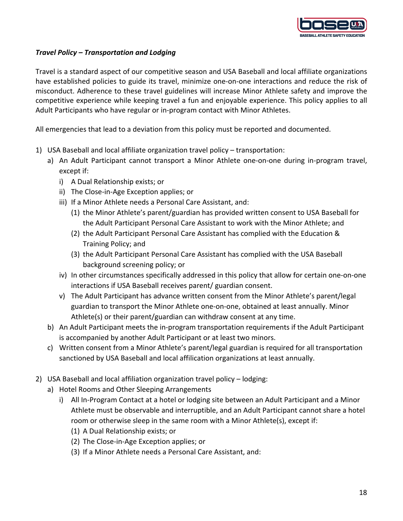

### *Travel Policy – Transportation and Lodging*

Travel is a standard aspect of our competitive season and USA Baseball and local affiliate organizations have established policies to guide its travel, minimize one-on-one interactions and reduce the risk of misconduct. Adherence to these travel guidelines will increase Minor Athlete safety and improve the competitive experience while keeping travel a fun and enjoyable experience. This policy applies to all Adult Participants who have regular or in-program contact with Minor Athletes.

All emergencies that lead to a deviation from this policy must be reported and documented.

- 1) USA Baseball and local affiliate organization travel policy transportation:
	- a) An Adult Participant cannot transport a Minor Athlete one-on-one during in-program travel, except if:
		- i) A Dual Relationship exists; or
		- ii) The Close-in-Age Exception applies; or
		- iii) If a Minor Athlete needs a Personal Care Assistant, and:
			- (1) the Minor Athlete's parent/guardian has provided written consent to USA Baseball for the Adult Participant Personal Care Assistant to work with the Minor Athlete; and
			- (2) the Adult Participant Personal Care Assistant has complied with the Education & Training Policy; and
			- (3) the Adult Participant Personal Care Assistant has complied with the USA Baseball background screening policy; or
		- iv) In other circumstances specifically addressed in this policy that allow for certain one-on-one interactions if USA Baseball receives parent/ guardian consent.
		- v) The Adult Participant has advance written consent from the Minor Athlete's parent/legal guardian to transport the Minor Athlete one-on-one, obtained at least annually. Minor Athlete(s) or their parent/guardian can withdraw consent at any time.
	- b) An Adult Participant meets the in-program transportation requirements if the Adult Participant is accompanied by another Adult Participant or at least two minors.
	- c) Written consent from a Minor Athlete's parent/legal guardian is required for all transportation sanctioned by USA Baseball and local affilication organizations at least annually.
- 2) USA Baseball and local affiliation organization travel policy lodging:
	- a) Hotel Rooms and Other Sleeping Arrangements
		- i) All In-Program Contact at a hotel or lodging site between an Adult Participant and a Minor Athlete must be observable and interruptible, and an Adult Participant cannot share a hotel room or otherwise sleep in the same room with a Minor Athlete(s), except if:
			- (1) A Dual Relationship exists; or
			- (2) The Close-in-Age Exception applies; or
			- (3) If a Minor Athlete needs a Personal Care Assistant, and: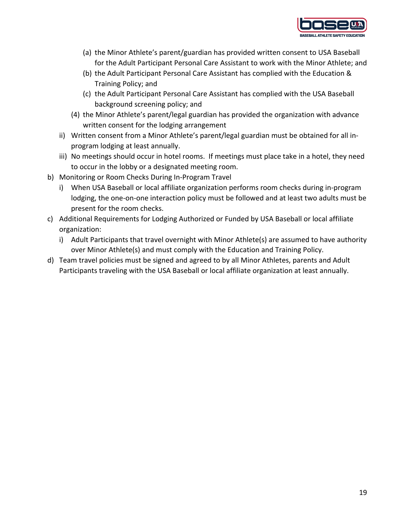

- (a) the Minor Athlete's parent/guardian has provided written consent to USA Baseball for the Adult Participant Personal Care Assistant to work with the Minor Athlete; and
- (b) the Adult Participant Personal Care Assistant has complied with the Education & Training Policy; and
- (c) the Adult Participant Personal Care Assistant has complied with the USA Baseball background screening policy; and
- (4) the Minor Athlete's parent/legal guardian has provided the organization with advance written consent for the lodging arrangement
- ii) Written consent from a Minor Athlete's parent/legal guardian must be obtained for all inprogram lodging at least annually.
- iii) No meetings should occur in hotel rooms. If meetings must place take in a hotel, they need to occur in the lobby or a designated meeting room.
- b) Monitoring or Room Checks During In-Program Travel
	- i) When USA Baseball or local affiliate organization performs room checks during in-program lodging, the one-on-one interaction policy must be followed and at least two adults must be present for the room checks.
- c) Additional Requirements for Lodging Authorized or Funded by USA Baseball or local affiliate organization:
	- i) Adult Participants that travel overnight with Minor Athlete(s) are assumed to have authority over Minor Athlete(s) and must comply with the Education and Training Policy.
- d) Team travel policies must be signed and agreed to by all Minor Athletes, parents and Adult Participants traveling with the USA Baseball or local affiliate organization at least annually.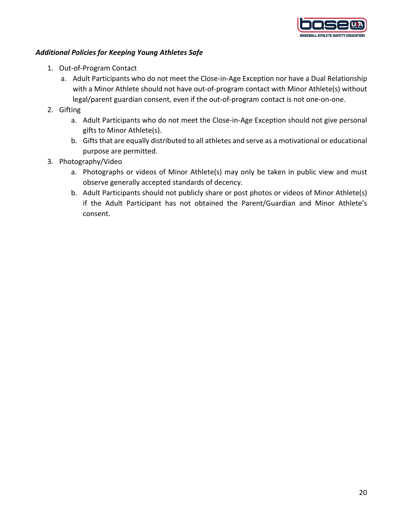

### *Additional Policies for Keeping Young Athletes Safe*

- 1. Out-of-Program Contact
	- a. Adult Participants who do not meet the Close-in-Age Exception nor have a Dual Relationship with a Minor Athlete should not have out-of-program contact with Minor Athlete(s) without legal/parent guardian consent, even if the out-of-program contact is not one-on-one.
- 2. Gifting
	- a. Adult Participants who do not meet the Close-in-Age Exception should not give personal gifts to Minor Athlete(s).
	- b. Gifts that are equally distributed to all athletes and serve as a motivational or educational purpose are permitted.
- 3. Photography/Video
	- a. Photographs or videos of Minor Athlete(s) may only be taken in public view and must observe generally accepted standards of decency.
	- b. Adult Participants should not publicly share or post photos or videos of Minor Athlete(s) if the Adult Participant has not obtained the Parent/Guardian and Minor Athlete's consent.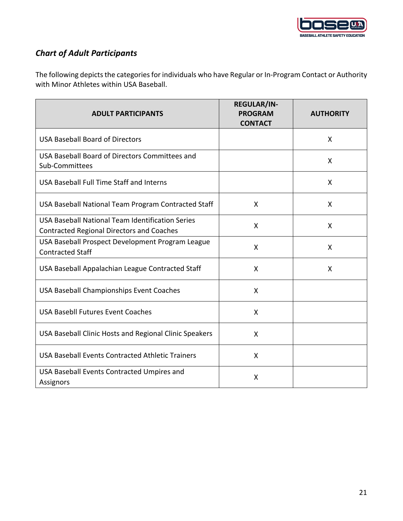

# *Chart of Adult Participants*

The following depicts the categories for individuals who have Regular or In-Program Contact or Authority with Minor Athletes within USA Baseball.

| <b>ADULT PARTICIPANTS</b>                                                                            | <b>REGULAR/IN-</b><br><b>PROGRAM</b><br><b>CONTACT</b> | <b>AUTHORITY</b>          |
|------------------------------------------------------------------------------------------------------|--------------------------------------------------------|---------------------------|
| <b>USA Baseball Board of Directors</b>                                                               |                                                        | X                         |
| USA Baseball Board of Directors Committees and<br>Sub-Committees                                     |                                                        | X                         |
| USA Baseball Full Time Staff and Interns                                                             |                                                        | X                         |
| USA Baseball National Team Program Contracted Staff                                                  | X                                                      | X                         |
| USA Baseball National Team Identification Series<br><b>Contracted Regional Directors and Coaches</b> | X                                                      | $\boldsymbol{\mathsf{X}}$ |
| USA Baseball Prospect Development Program League<br><b>Contracted Staff</b>                          | X                                                      | X                         |
| USA Baseball Appalachian League Contracted Staff                                                     | X                                                      | X                         |
| USA Baseball Championships Event Coaches                                                             | X                                                      |                           |
| <b>USA Basebll Futures Event Coaches</b>                                                             | X                                                      |                           |
| USA Baseball Clinic Hosts and Regional Clinic Speakers                                               | X                                                      |                           |
| USA Baseball Events Contracted Athletic Trainers                                                     | X                                                      |                           |
| USA Baseball Events Contracted Umpires and<br>Assignors                                              | X                                                      |                           |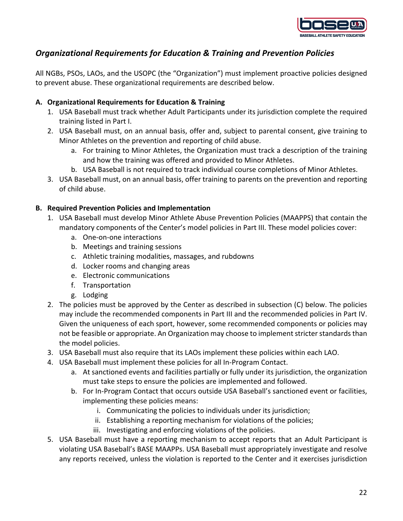

## *Organizational Requirements for Education & Training and Prevention Policies*

All NGBs, PSOs, LAOs, and the USOPC (the "Organization") must implement proactive policies designed to prevent abuse. These organizational requirements are described below.

### **A. Organizational Requirements for Education & Training**

- 1. USA Baseball must track whether Adult Participants under its jurisdiction complete the required training listed in Part I.
- 2. USA Baseball must, on an annual basis, offer and, subject to parental consent, give training to Minor Athletes on the prevention and reporting of child abuse.
	- a. For training to Minor Athletes, the Organization must track a description of the training and how the training was offered and provided to Minor Athletes.
	- b. USA Baseball is not required to track individual course completions of Minor Athletes.
- 3. USA Baseball must, on an annual basis, offer training to parents on the prevention and reporting of child abuse.

### **B. Required Prevention Policies and Implementation**

- 1. USA Baseball must develop Minor Athlete Abuse Prevention Policies (MAAPPS) that contain the mandatory components of the Center's model policies in Part III. These model policies cover:
	- a. One-on-one interactions
	- b. Meetings and training sessions
	- c. Athletic training modalities, massages, and rubdowns
	- d. Locker rooms and changing areas
	- e. Electronic communications
	- f. Transportation
	- g. Lodging
- 2. The policies must be approved by the Center as described in subsection (C) below. The policies may include the recommended components in Part III and the recommended policies in Part IV. Given the uniqueness of each sport, however, some recommended components or policies may not be feasible or appropriate. An Organization may choose to implement stricter standards than the model policies.
- 3. USA Baseball must also require that its LAOs implement these policies within each LAO.
- 4. USA Baseball must implement these policies for all In-Program Contact.
	- a. At sanctioned events and facilities partially or fully under its jurisdiction, the organization must take steps to ensure the policies are implemented and followed.
	- b. For In-Program Contact that occurs outside USA Baseball's sanctioned event or facilities, implementing these policies means:
		- i. Communicating the policies to individuals under its jurisdiction;
		- ii. Establishing a reporting mechanism for violations of the policies;
		- iii. Investigating and enforcing violations of the policies.
- 5. USA Baseball must have a reporting mechanism to accept reports that an Adult Participant is violating USA Baseball's BASE MAAPPs. USA Baseball must appropriately investigate and resolve any reports received, unless the violation is reported to the Center and it exercises jurisdiction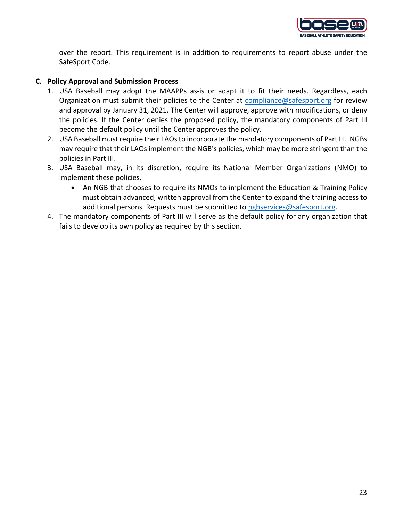

over the report. This requirement is in addition to requirements to report abuse under the SafeSport Code.

### **C. Policy Approval and Submission Process**

- 1. USA Baseball may adopt the MAAPPs as-is or adapt it to fit their needs. Regardless, each Organization must submit their policies to the Center at compliance@safesport.org for review and approval by January 31, 2021. The Center will approve, approve with modifications, or deny the policies. If the Center denies the proposed policy, the mandatory components of Part III become the default policy until the Center approves the policy.
- 2. USA Baseball must require their LAOs to incorporate the mandatory components of Part III. NGBs may require that their LAOs implement the NGB's policies, which may be more stringent than the policies in Part III.
- 3. USA Baseball may, in its discretion, require its National Member Organizations (NMO) to implement these policies.
	- An NGB that chooses to require its NMOs to implement the Education & Training Policy must obtain advanced, written approval from the Center to expand the training access to additional persons. Requests must be submitted to ngbservices@safesport.org.
- 4. The mandatory components of Part III will serve as the default policy for any organization that fails to develop its own policy as required by this section.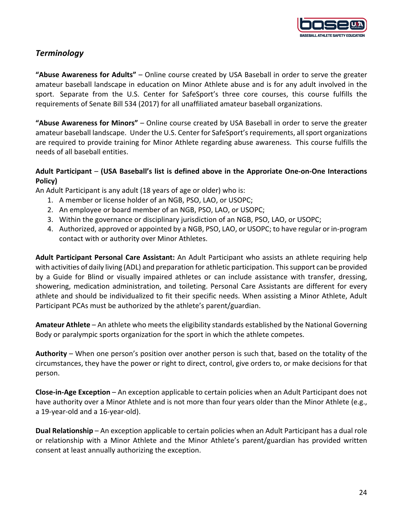

## *Terminology*

**"Abuse Awareness for Adults"** – Online course created by USA Baseball in order to serve the greater amateur baseball landscape in education on Minor Athlete abuse and is for any adult involved in the sport. Separate from the U.S. Center for SafeSport's three core courses, this course fulfills the requirements of Senate Bill 534 (2017) for all unaffiliated amateur baseball organizations.

**"Abuse Awareness for Minors"** – Online course created by USA Baseball in order to serve the greater amateur baseball landscape. Under the U.S. Center for SafeSport's requirements, all sport organizations are required to provide training for Minor Athlete regarding abuse awareness. This course fulfills the needs of all baseball entities.

### **Adult Participant** – **(USA Baseball's list is defined above in the Approriate One-on-One Interactions Policy)**

An Adult Participant is any adult (18 years of age or older) who is:

- 1. A member or license holder of an NGB, PSO, LAO, or USOPC;
- 2. An employee or board member of an NGB, PSO, LAO, or USOPC;
- 3. Within the governance or disciplinary jurisdiction of an NGB, PSO, LAO, or USOPC;
- 4. Authorized, approved or appointed by a NGB, PSO, LAO, or USOPC; to have regular or in-program contact with or authority over Minor Athletes.

**Adult Participant Personal Care Assistant:** An Adult Participant who assists an athlete requiring help with activities of daily living (ADL) and preparation for athletic participation. This support can be provided by a Guide for Blind or visually impaired athletes or can include assistance with transfer, dressing, showering, medication administration, and toileting. Personal Care Assistants are different for every athlete and should be individualized to fit their specific needs. When assisting a Minor Athlete, Adult Participant PCAs must be authorized by the athlete's parent/guardian.

**Amateur Athlete** – An athlete who meets the eligibility standards established by the National Governing Body or paralympic sports organization for the sport in which the athlete competes.

**Authority** – When one person's position over another person is such that, based on the totality of the circumstances, they have the power or right to direct, control, give orders to, or make decisions for that person.

**Close-in-Age Exception** – An exception applicable to certain policies when an Adult Participant does not have authority over a Minor Athlete and is not more than four years older than the Minor Athlete (e.g., a 19-year-old and a 16-year-old).

**Dual Relationship** – An exception applicable to certain policies when an Adult Participant has a dual role or relationship with a Minor Athlete and the Minor Athlete's parent/guardian has provided written consent at least annually authorizing the exception.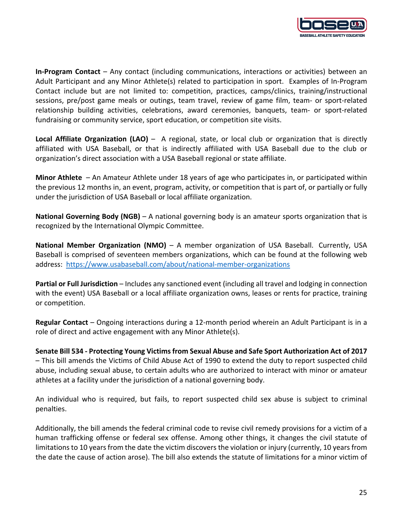

**In-Program Contact** – Any contact (including communications, interactions or activities) between an Adult Participant and any Minor Athlete(s) related to participation in sport. Examples of In-Program Contact include but are not limited to: competition, practices, camps/clinics, training/instructional sessions, pre/post game meals or outings, team travel, review of game film, team- or sport-related relationship building activities, celebrations, award ceremonies, banquets, team- or sport-related fundraising or community service, sport education, or competition site visits.

**Local Affiliate Organization (LAO)** – A regional, state, or local club or organization that is directly affiliated with USA Baseball, or that is indirectly affiliated with USA Baseball due to the club or organization's direct association with a USA Baseball regional or state affiliate.

**Minor Athlete** – An Amateur Athlete under 18 years of age who participates in, or participated within the previous 12 months in, an event, program, activity, or competition that is part of, or partially or fully under the jurisdiction of USA Baseball or local affiliate organization.

**National Governing Body (NGB)** – A national governing body is an amateur sports organization that is recognized by the International Olympic Committee.

**National Member Organization (NMO)** – A member organization of USA Baseball. Currently, USA Baseball is comprised of seventeen members organizations, which can be found at the following web address: https://www.usabaseball.com/about/national-member-organizations

**Partial or Full Jurisdiction** – Includes any sanctioned event (including all travel and lodging in connection with the event) USA Baseball or a local affiliate organization owns, leases or rents for practice, training or competition.

**Regular Contact** – Ongoing interactions during a 12-month period wherein an Adult Participant is in a role of direct and active engagement with any Minor Athlete(s).

**Senate Bill 534 - Protecting Young Victims from Sexual Abuse and Safe Sport Authorization Act of 2017**  – This bill amends the Victims of Child Abuse Act of 1990 to extend the duty to report suspected child abuse, including sexual abuse, to certain adults who are authorized to interact with minor or amateur athletes at a facility under the jurisdiction of a national governing body.

An individual who is required, but fails, to report suspected child sex abuse is subject to criminal penalties.

Additionally, the bill amends the federal criminal code to revise civil remedy provisions for a victim of a human trafficking offense or federal sex offense. Among other things, it changes the civil statute of limitations to 10 years from the date the victim discovers the violation or injury (currently, 10 years from the date the cause of action arose). The bill also extends the statute of limitations for a minor victim of